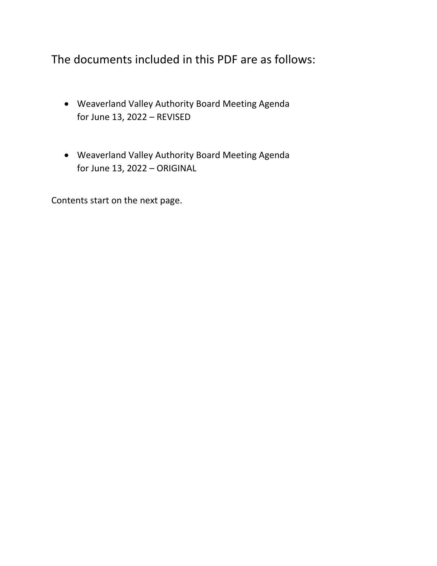The documents included in this PDF are as follows:

- Weaverland Valley Authority Board Meeting Agenda for June 13, 2022 – REVISED
- Weaverland Valley Authority Board Meeting Agenda for June 13, 2022 – ORIGINAL

Contents start on the next page.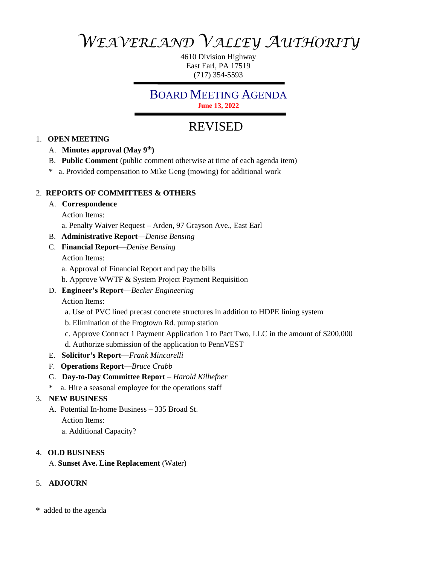# *WEAVERLAND VALLEY AUTHORITY*

4610 Division Highway East Earl, PA 17519 (717) 354-5593

## BOARD MEETING AGENDA

**June 13, 2022**

## REVISED

## 1. **OPEN MEETING**

- A. **Minutes approval (May 9th)**
- B. **Public Comment** (public comment otherwise at time of each agenda item)
- \* a. Provided compensation to Mike Geng (mowing) for additional work

## 2. **REPORTS OF COMMITTEES & OTHERS**

#### A. **Correspondence**

Action Items:

- a. Penalty Waiver Request Arden, 97 Grayson Ave., East Earl
- B. **Administrative Report**—*Denise Bensing*
- C. **Financial Report**—*Denise Bensing*

Action Items:

- a. Approval of Financial Report and pay the bills
- b. Approve WWTF & System Project Payment Requisition
- D. **Engineer's Report**—*Becker Engineering*

Action Items:

- a. Use of PVC lined precast concrete structures in addition to HDPE lining system
- b. Elimination of the Frogtown Rd. pump station
- c. Approve Contract 1 Payment Application 1 to Pact Two, LLC in the amount of \$200,000
- d. Authorize submission of the application to PennVEST
- E. **Solicitor's Report**—*Frank Mincarelli*
- F. **Operations Report**—*Bruce Crabb*
- G. **Day-to-Day Committee Report** *Harold Kilhefner*
- \* a. Hire a seasonal employee for the operations staff

## 3. **NEW BUSINESS**

- A. Potential In-home Business 335 Broad St. Action Items:
	- a. Additional Capacity?

## 4. **OLD BUSINESS**

A. **Sunset Ave. Line Replacement** (Water)

## 5. **ADJOURN**

**\*** added to the agenda